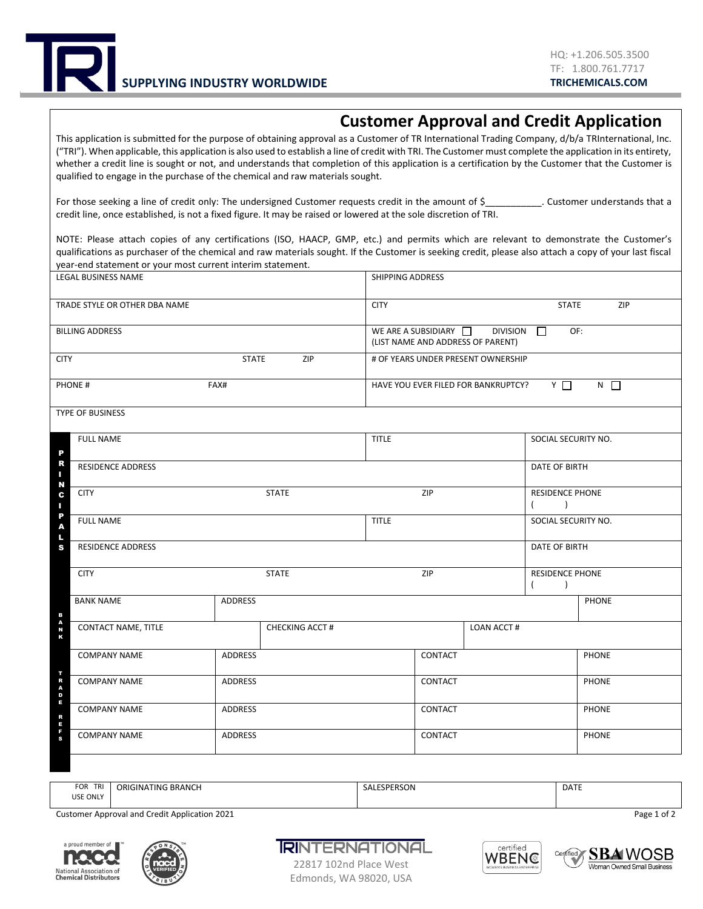

## **Customer Approval and Credit Application**

This application is submitted for the purpose of obtaining approval as a Customer of TR International Trading Company, d/b/a TRInternational, Inc. ("TRI"). When applicable, this application is also used to establish a line of credit with TRI. The Customer must complete the application in its entirety, whether a credit line is sought or not, and understands that completion of this application is a certification by the Customer that the Customer is qualified to engage in the purchase of the chemical and raw materials sought.

For those seeking a line of credit only: The undersigned Customer requests credit in the amount of \$\_\_\_\_\_\_\_\_\_\_\_. Customer understands that a credit line, once established, is not a fixed figure. It may be raised or lowered at the sole discretion of TRI.

NOTE: Please attach copies of any certifications (ISO, HAACP, GMP, etc.) and permits which are relevant to demonstrate the Customer's qualifications as purchaser of the chemical and raw materials sought. If the Customer is seeking credit, please also attach a copy of your last fiscal year-end statement or your most current interim statement.

| LEGAL BUSINESS NAME                     |                |                | SHIPPING ADDRESS                                                                            |                |                                                    |                                     |              |  |
|-----------------------------------------|----------------|----------------|---------------------------------------------------------------------------------------------|----------------|----------------------------------------------------|-------------------------------------|--------------|--|
| TRADE STYLE OR OTHER DBA NAME           |                |                | <b>CITY</b><br>ZIP<br><b>STATE</b>                                                          |                |                                                    |                                     |              |  |
| <b>BILLING ADDRESS</b>                  |                |                | OF:<br>WE ARE A SUBSIDIARY $\Box$<br>DIVISION <b>N</b><br>(LIST NAME AND ADDRESS OF PARENT) |                |                                                    |                                     |              |  |
| <b>STATE</b><br>ZIP<br><b>CITY</b>      |                |                | # OF YEARS UNDER PRESENT OWNERSHIP                                                          |                |                                                    |                                     |              |  |
| PHONE#<br>FAX#                          |                |                | $N$ $\Box$<br>Y I<br>HAVE YOU EVER FILED FOR BANKRUPTCY?                                    |                |                                                    |                                     |              |  |
| TYPE OF BUSINESS                        |                |                |                                                                                             |                |                                                    |                                     |              |  |
| <b>FULL NAME</b>                        |                |                | <b>TITLE</b>                                                                                |                | SOCIAL SECURITY NO.                                |                                     |              |  |
| R<br><b>RESIDENCE ADDRESS</b><br>п<br>N |                |                |                                                                                             |                |                                                    | DATE OF BIRTH                       |              |  |
| <b>STATE</b><br><b>CITY</b>             |                |                | ZIP                                                                                         |                | <b>RESIDENCE PHONE</b><br>$\overline{\phantom{a}}$ |                                     |              |  |
| P<br><b>FULL NAME</b><br>A<br>Щ         |                |                | <b>TITLE</b>                                                                                |                | SOCIAL SECURITY NO.                                |                                     |              |  |
| <b>RESIDENCE ADDRESS</b><br>S           |                |                |                                                                                             |                |                                                    | DATE OF BIRTH                       |              |  |
| <b>CITY</b>                             |                | <b>STATE</b>   |                                                                                             | ZIP            |                                                    | <b>RESIDENCE PHONE</b><br>$\lambda$ |              |  |
| <b>BANK NAME</b><br>B                   | <b>ADDRESS</b> |                |                                                                                             |                |                                                    |                                     | PHONE        |  |
| A<br>N<br>CONTACT NAME, TITLE<br>ĸ      |                | CHECKING ACCT# |                                                                                             |                | LOAN ACCT#                                         |                                     |              |  |
| <b>COMPANY NAME</b>                     | ADDRESS        |                |                                                                                             | CONTACT        |                                                    |                                     | <b>PHONE</b> |  |
| TRADE<br><b>COMPANY NAME</b>            | <b>ADDRESS</b> |                |                                                                                             | <b>CONTACT</b> |                                                    |                                     | <b>PHONE</b> |  |
| <b>COMPANY NAME</b><br>R                | <b>ADDRESS</b> |                |                                                                                             | CONTACT        |                                                    |                                     | <b>PHONE</b> |  |
| E<br>F<br>S<br><b>COMPANY NAME</b>      | <b>ADDRESS</b> |                |                                                                                             | CONTACT        |                                                    |                                     | <b>PHONE</b> |  |
|                                         |                |                |                                                                                             |                |                                                    |                                     |              |  |

| TRI<br>FOR<br>USE ONLY | ORIGINATING BRANCH | <b>SPERSON</b><br>SAL | <b>DATE</b> |
|------------------------|--------------------|-----------------------|-------------|
|------------------------|--------------------|-----------------------|-------------|

Customer Approval and Credit Application 2021 **Page 1 of 2** Page 1 of 2





**RINTERNATIONAL** 





22817 102nd Place West Edmonds, WA 98020, USA